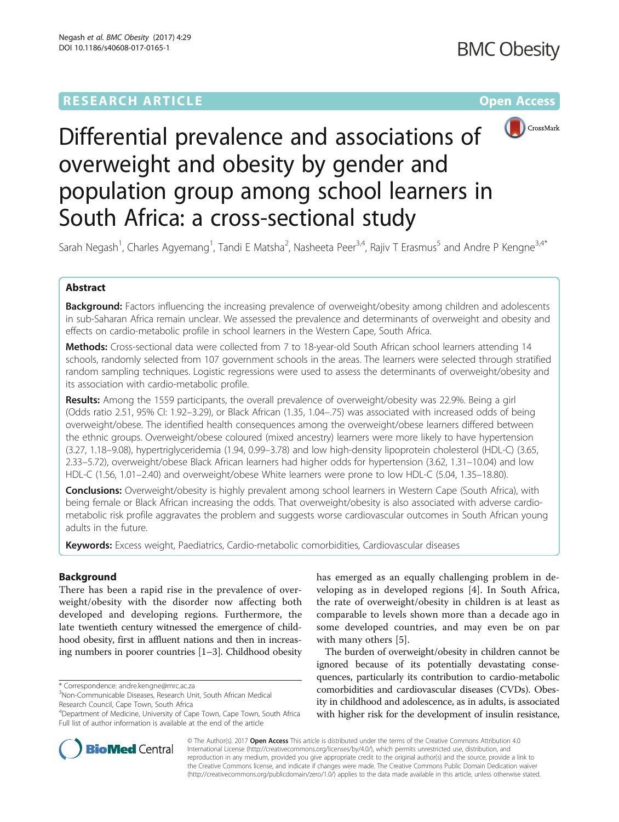

# Differential prevalence and associations of overweight and obesity by gender and population group among school learners in South Africa: a cross-sectional study

Sarah Negash<sup>1</sup>, Charles Agyemang<sup>1</sup>, Tandi E Matsha<sup>2</sup>, Nasheeta Peer<sup>3,4</sup>, Rajiv T Erasmus<sup>5</sup> and Andre P Kengne<sup>3,4\*</sup>

# Abstract

Background: Factors influencing the increasing prevalence of overweight/obesity among children and adolescents in sub-Saharan Africa remain unclear. We assessed the prevalence and determinants of overweight and obesity and effects on cardio-metabolic profile in school learners in the Western Cape, South Africa.

Methods: Cross-sectional data were collected from 7 to 18-year-old South African school learners attending 14 schools, randomly selected from 107 government schools in the areas. The learners were selected through stratified random sampling techniques. Logistic regressions were used to assess the determinants of overweight/obesity and its association with cardio-metabolic profile.

Results: Among the 1559 participants, the overall prevalence of overweight/obesity was 22.9%. Being a girl (Odds ratio 2.51, 95% CI: 1.92–3.29), or Black African (1.35, 1.04–.75) was associated with increased odds of being overweight/obese. The identified health consequences among the overweight/obese learners differed between the ethnic groups. Overweight/obese coloured (mixed ancestry) learners were more likely to have hypertension (3.27, 1.18–9.08), hypertriglyceridemia (1.94, 0.99–3.78) and low high-density lipoprotein cholesterol (HDL-C) (3.65, 2.33–5.72), overweight/obese Black African learners had higher odds for hypertension (3.62, 1.31–10.04) and low HDL-C (1.56, 1.01–2.40) and overweight/obese White learners were prone to low HDL-C (5.04, 1.35–18.80).

**Conclusions:** Overweight/obesity is highly prevalent among school learners in Western Cape (South Africa), with being female or Black African increasing the odds. That overweight/obesity is also associated with adverse cardiometabolic risk profile aggravates the problem and suggests worse cardiovascular outcomes in South African young adults in the future.

Keywords: Excess weight, Paediatrics, Cardio-metabolic comorbidities, Cardiovascular diseases

# Background

There has been a rapid rise in the prevalence of overweight/obesity with the disorder now affecting both developed and developing regions. Furthermore, the late twentieth century witnessed the emergence of childhood obesity, first in affluent nations and then in increasing numbers in poorer countries [[1](#page-6-0)–[3](#page-6-0)]. Childhood obesity

\* Correspondence: [andre.kengne@mrc.ac.za](mailto:andre.kengne@mrc.ac.za) <sup>3</sup>

has emerged as an equally challenging problem in developing as in developed regions [[4\]](#page-6-0). In South Africa, the rate of overweight/obesity in children is at least as comparable to levels shown more than a decade ago in some developed countries, and may even be on par with many others [[5\]](#page-6-0).

The burden of overweight/obesity in children cannot be ignored because of its potentially devastating consequences, particularly its contribution to cardio-metabolic comorbidities and cardiovascular diseases (CVDs). Obesity in childhood and adolescence, as in adults, is associated with higher risk for the development of insulin resistance,



© The Author(s). 2017 **Open Access** This article is distributed under the terms of the Creative Commons Attribution 4.0 International License [\(http://creativecommons.org/licenses/by/4.0/](http://creativecommons.org/licenses/by/4.0/)), which permits unrestricted use, distribution, and reproduction in any medium, provided you give appropriate credit to the original author(s) and the source, provide a link to the Creative Commons license, and indicate if changes were made. The Creative Commons Public Domain Dedication waiver [\(http://creativecommons.org/publicdomain/zero/1.0/](http://creativecommons.org/publicdomain/zero/1.0/)) applies to the data made available in this article, unless otherwise stated.

<sup>&</sup>lt;sup>3</sup>Non-Communicable Diseases, Research Unit, South African Medical Research Council, Cape Town, South Africa

<sup>4</sup> Department of Medicine, University of Cape Town, Cape Town, South Africa Full list of author information is available at the end of the article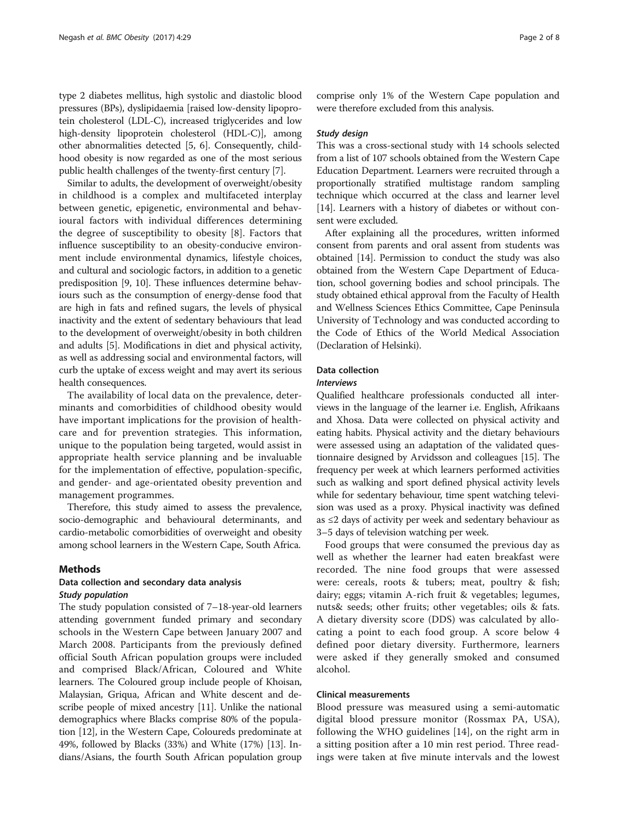type 2 diabetes mellitus, high systolic and diastolic blood pressures (BPs), dyslipidaemia [raised low-density lipoprotein cholesterol (LDL-C), increased triglycerides and low high-density lipoprotein cholesterol (HDL-C)], among other abnormalities detected [\[5](#page-6-0), [6](#page-6-0)]. Consequently, childhood obesity is now regarded as one of the most serious public health challenges of the twenty-first century [\[7\]](#page-6-0).

Similar to adults, the development of overweight/obesity in childhood is a complex and multifaceted interplay between genetic, epigenetic, environmental and behavioural factors with individual differences determining the degree of susceptibility to obesity [\[8](#page-6-0)]. Factors that influence susceptibility to an obesity-conducive environment include environmental dynamics, lifestyle choices, and cultural and sociologic factors, in addition to a genetic predisposition [[9, 10\]](#page-6-0). These influences determine behaviours such as the consumption of energy-dense food that are high in fats and refined sugars, the levels of physical inactivity and the extent of sedentary behaviours that lead to the development of overweight/obesity in both children and adults [\[5](#page-6-0)]. Modifications in diet and physical activity, as well as addressing social and environmental factors, will curb the uptake of excess weight and may avert its serious health consequences.

The availability of local data on the prevalence, determinants and comorbidities of childhood obesity would have important implications for the provision of healthcare and for prevention strategies. This information, unique to the population being targeted, would assist in appropriate health service planning and be invaluable for the implementation of effective, population-specific, and gender- and age-orientated obesity prevention and management programmes.

Therefore, this study aimed to assess the prevalence, socio-demographic and behavioural determinants, and cardio-metabolic comorbidities of overweight and obesity among school learners in the Western Cape, South Africa.

# Methods

# Data collection and secondary data analysis Study population

The study population consisted of 7–18-year-old learners attending government funded primary and secondary schools in the Western Cape between January 2007 and March 2008. Participants from the previously defined official South African population groups were included and comprised Black/African, Coloured and White learners. The Coloured group include people of Khoisan, Malaysian, Griqua, African and White descent and describe people of mixed ancestry [\[11\]](#page-6-0). Unlike the national demographics where Blacks comprise 80% of the population [[12](#page-6-0)], in the Western Cape, Coloureds predominate at 49%, followed by Blacks (33%) and White (17%) [\[13\]](#page-6-0). Indians/Asians, the fourth South African population group comprise only 1% of the Western Cape population and were therefore excluded from this analysis.

# Study design

This was a cross-sectional study with 14 schools selected from a list of 107 schools obtained from the Western Cape Education Department. Learners were recruited through a proportionally stratified multistage random sampling technique which occurred at the class and learner level [[14](#page-7-0)]. Learners with a history of diabetes or without consent were excluded.

After explaining all the procedures, written informed consent from parents and oral assent from students was obtained [[14](#page-7-0)]. Permission to conduct the study was also obtained from the Western Cape Department of Education, school governing bodies and school principals. The study obtained ethical approval from the Faculty of Health and Wellness Sciences Ethics Committee, Cape Peninsula University of Technology and was conducted according to the Code of Ethics of the World Medical Association (Declaration of Helsinki).

# Data collection

# Interviews

Qualified healthcare professionals conducted all interviews in the language of the learner i.e. English, Afrikaans and Xhosa. Data were collected on physical activity and eating habits. Physical activity and the dietary behaviours were assessed using an adaptation of the validated questionnaire designed by Arvidsson and colleagues [\[15](#page-7-0)]. The frequency per week at which learners performed activities such as walking and sport defined physical activity levels while for sedentary behaviour, time spent watching television was used as a proxy. Physical inactivity was defined as  $\leq$ 2 days of activity per week and sedentary behaviour as 3–5 days of television watching per week.

Food groups that were consumed the previous day as well as whether the learner had eaten breakfast were recorded. The nine food groups that were assessed were: cereals, roots & tubers; meat, poultry & fish; dairy; eggs; vitamin A-rich fruit & vegetables; legumes, nuts& seeds; other fruits; other vegetables; oils & fats. A dietary diversity score (DDS) was calculated by allocating a point to each food group. A score below 4 defined poor dietary diversity. Furthermore, learners were asked if they generally smoked and consumed alcohol.

# Clinical measurements

Blood pressure was measured using a semi-automatic digital blood pressure monitor (Rossmax PA, USA), following the WHO guidelines [\[14](#page-7-0)], on the right arm in a sitting position after a 10 min rest period. Three readings were taken at five minute intervals and the lowest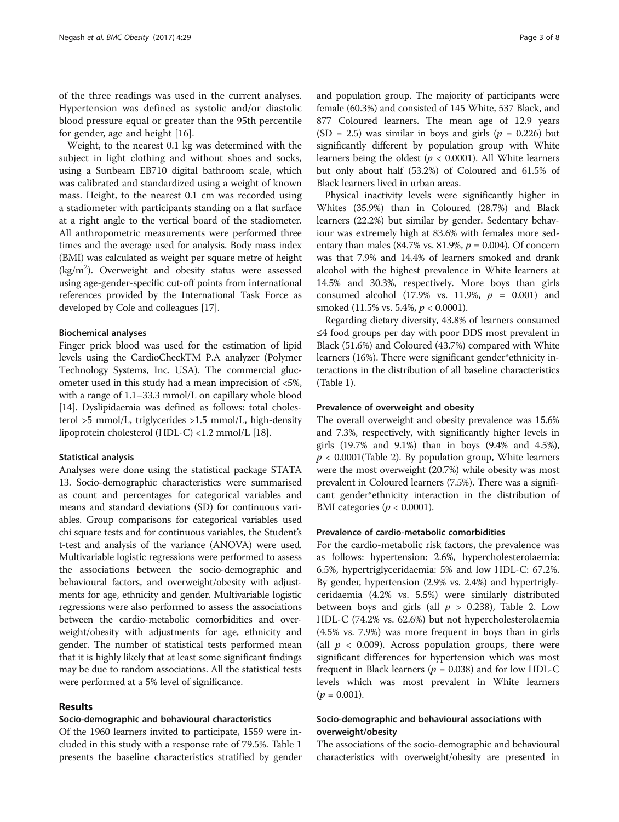of the three readings was used in the current analyses. Hypertension was defined as systolic and/or diastolic blood pressure equal or greater than the 95th percentile for gender, age and height [[16\]](#page-7-0).

Weight, to the nearest 0.1 kg was determined with the subject in light clothing and without shoes and socks, using a Sunbeam EB710 digital bathroom scale, which was calibrated and standardized using a weight of known mass. Height, to the nearest 0.1 cm was recorded using a stadiometer with participants standing on a flat surface at a right angle to the vertical board of the stadiometer. All anthropometric measurements were performed three times and the average used for analysis. Body mass index (BMI) was calculated as weight per square metre of height  $(kg/m<sup>2</sup>)$ . Overweight and obesity status were assessed using age-gender-specific cut-off points from international references provided by the International Task Force as developed by Cole and colleagues [\[17](#page-7-0)].

# Biochemical analyses

Finger prick blood was used for the estimation of lipid levels using the CardioCheckTM P.A analyzer (Polymer Technology Systems, Inc. USA). The commercial glucometer used in this study had a mean imprecision of <5%, with a range of 1.1–33.3 mmol/L on capillary whole blood [[14](#page-7-0)]. Dyslipidaemia was defined as follows: total cholesterol >5 mmol/L, triglycerides >1.5 mmol/L, high-density lipoprotein cholesterol (HDL-C) <1.2 mmol/L [\[18\]](#page-7-0).

#### Statistical analysis

Analyses were done using the statistical package STATA 13. Socio-demographic characteristics were summarised as count and percentages for categorical variables and means and standard deviations (SD) for continuous variables. Group comparisons for categorical variables used chi square tests and for continuous variables, the Student's t-test and analysis of the variance (ANOVA) were used. Multivariable logistic regressions were performed to assess the associations between the socio-demographic and behavioural factors, and overweight/obesity with adjustments for age, ethnicity and gender. Multivariable logistic regressions were also performed to assess the associations between the cardio-metabolic comorbidities and overweight/obesity with adjustments for age, ethnicity and gender. The number of statistical tests performed mean that it is highly likely that at least some significant findings may be due to random associations. All the statistical tests were performed at a 5% level of significance.

# Results

# Socio-demographic and behavioural characteristics

Of the 1960 learners invited to participate, 1559 were included in this study with a response rate of 79.5%. Table [1](#page-3-0) presents the baseline characteristics stratified by gender and population group. The majority of participants were female (60.3%) and consisted of 145 White, 537 Black, and 877 Coloured learners. The mean age of 12.9 years  $(SD = 2.5)$  was similar in boys and girls ( $p = 0.226$ ) but significantly different by population group with White learners being the oldest ( $p < 0.0001$ ). All White learners but only about half (53.2%) of Coloured and 61.5% of Black learners lived in urban areas.

Physical inactivity levels were significantly higher in Whites (35.9%) than in Coloured (28.7%) and Black learners (22.2%) but similar by gender. Sedentary behaviour was extremely high at 83.6% with females more sedentary than males (84.7% vs. 81.9%,  $p = 0.004$ ). Of concern was that 7.9% and 14.4% of learners smoked and drank alcohol with the highest prevalence in White learners at 14.5% and 30.3%, respectively. More boys than girls consumed alcohol (17.9% vs. 11.9%,  $p = 0.001$ ) and smoked (11.5% vs. 5.4%,  $p < 0.0001$ ).

Regarding dietary diversity, 43.8% of learners consumed ≤4 food groups per day with poor DDS most prevalent in Black (51.6%) and Coloured (43.7%) compared with White learners (16%). There were significant gender\*ethnicity interactions in the distribution of all baseline characteristics (Table [1](#page-3-0)).

# Prevalence of overweight and obesity

The overall overweight and obesity prevalence was 15.6% and 7.3%, respectively, with significantly higher levels in girls (19.7% and 9.1%) than in boys (9.4% and 4.5%),  $p < 0.0001$ (Table [2](#page-3-0)). By population group, White learners were the most overweight (20.7%) while obesity was most prevalent in Coloured learners (7.5%). There was a significant gender\*ethnicity interaction in the distribution of BMI categories ( $p < 0.0001$ ).

# Prevalence of cardio-metabolic comorbidities

For the cardio-metabolic risk factors, the prevalence was as follows: hypertension: 2.6%, hypercholesterolaemia: 6.5%, hypertriglyceridaemia: 5% and low HDL-C: 67.2%. By gender, hypertension (2.9% vs. 2.4%) and hypertriglyceridaemia (4.2% vs. 5.5%) were similarly distributed between boys and girls (all  $p > 0.238$ ), Table [2.](#page-3-0) Low HDL-C (74.2% vs. 62.6%) but not hypercholesterolaemia (4.5% vs. 7.9%) was more frequent in boys than in girls (all  $p < 0.009$ ). Across population groups, there were significant differences for hypertension which was most frequent in Black learners ( $p = 0.038$ ) and for low HDL-C levels which was most prevalent in White learners  $(p = 0.001).$ 

# Socio-demographic and behavioural associations with overweight/obesity

The associations of the socio-demographic and behavioural characteristics with overweight/obesity are presented in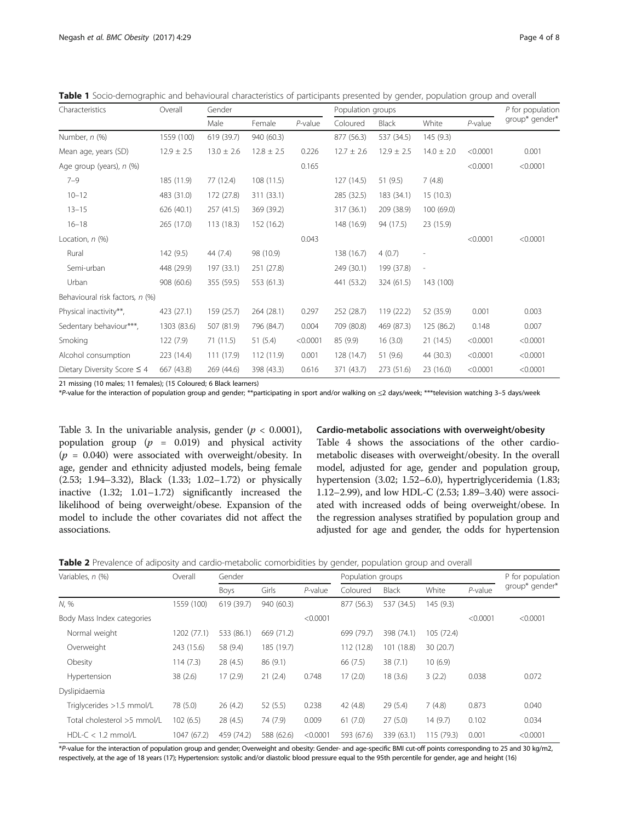| Characteristics                  | Overall        | Gender         |                |            | Population groups |                |                          |            | $P$ for population |
|----------------------------------|----------------|----------------|----------------|------------|-------------------|----------------|--------------------------|------------|--------------------|
|                                  |                | Male           | Female         | $P$ -value | Coloured          | <b>Black</b>   | White                    | $P$ -value | group* gender*     |
| Number, n (%)                    | 1559 (100)     | 619 (39.7)     | 940 (60.3)     |            | 877 (56.3)        | 537 (34.5)     | 145 (9.3)                |            |                    |
| Mean age, years (SD)             | $12.9 \pm 2.5$ | $13.0 \pm 2.6$ | $12.8 \pm 2.5$ | 0.226      | $12.7 \pm 2.6$    | $12.9 \pm 2.5$ | $14.0 \pm 2.0$           | < 0.0001   | 0.001              |
| Age group (years), n (%)         |                |                |                | 0.165      |                   |                |                          | < 0.0001   | < 0.0001           |
| $7 - 9$                          | 185 (11.9)     | 77 (12.4)      | 108(11.5)      |            | 127(14.5)         | 51 (9.5)       | 7(4.8)                   |            |                    |
| $10 - 12$                        | 483 (31.0)     | 172 (27.8)     | 311 (33.1)     |            | 285 (32.5)        | 183 (34.1)     | 15(10.3)                 |            |                    |
| $13 - 15$                        | 626 (40.1)     | 257(41.5)      | 369 (39.2)     |            | 317 (36.1)        | 209 (38.9)     | 100 (69.0)               |            |                    |
| $16 - 18$                        | 265 (17.0)     | 113(18.3)      | 152 (16.2)     |            | 148 (16.9)        | 94 (17.5)      | 23 (15.9)                |            |                    |
| Location, n (%)                  |                |                |                | 0.043      |                   |                |                          | < 0.0001   | < 0.0001           |
| Rural                            | 142(9.5)       | 44 (7.4)       | 98 (10.9)      |            | 138 (16.7)        | 4(0.7)         |                          |            |                    |
| Semi-urban                       | 448 (29.9)     | 197 (33.1)     | 251 (27.8)     |            | 249 (30.1)        | 199 (37.8)     | $\overline{\phantom{a}}$ |            |                    |
| Urban                            | 908 (60.6)     | 355 (59.5)     | 553 (61.3)     |            | 441 (53.2)        | 324 (61.5)     | 143 (100)                |            |                    |
| Behavioural risk factors, n (%)  |                |                |                |            |                   |                |                          |            |                    |
| Physical inactivity**,           | 423 (27.1)     | 159(25.7)      | 264(28.1)      | 0.297      | 252 (28.7)        | 119 (22.2)     | 52 (35.9)                | 0.001      | 0.003              |
| Sedentary behaviour***,          | 1303 (83.6)    | 507 (81.9)     | 796 (84.7)     | 0.004      | 709 (80.8)        | 469 (87.3)     | 125 (86.2)               | 0.148      | 0.007              |
| Smoking                          | 122(7.9)       | 71(11.5)       | 51(5.4)        | < 0.0001   | 85 (9.9)          | 16(3.0)        | 21(14.5)                 | < 0.0001   | < 0.0001           |
| Alcohol consumption              | 223 (14.4)     | 111(17.9)      | 112(11.9)      | 0.001      | 128 (14.7)        | 51 (9.6)       | 44 (30.3)                | < 0.0001   | < 0.0001           |
| Dietary Diversity Score $\leq 4$ | 667 (43.8)     | 269 (44.6)     | 398 (43.3)     | 0.616      | 371 (43.7)        | 273 (51.6)     | 23(16.0)                 | < 0.0001   | < 0.0001           |

<span id="page-3-0"></span>Table 1 Socio-demographic and behavioural characteristics of participants presented by gender, population group and overall

21 missing (10 males; 11 females); (15 Coloured; 6 Black learners)

\*P-value for the interaction of population group and gender; \*\*participating in sport and/or walking on ≤2 days/week; \*\*\*television watching 3–5 days/week

Table [3.](#page-4-0) In the univariable analysis, gender ( $p < 0.0001$ ), population group ( $p = 0.019$ ) and physical activity  $(p = 0.040)$  were associated with overweight/obesity. In age, gender and ethnicity adjusted models, being female (2.53; 1.94–3.32), Black (1.33; 1.02–1.72) or physically inactive (1.32; 1.01–1.72) significantly increased the likelihood of being overweight/obese. Expansion of the model to include the other covariates did not affect the associations.

# Cardio-metabolic associations with overweight/obesity

Table [4](#page-5-0) shows the associations of the other cardiometabolic diseases with overweight/obesity. In the overall model, adjusted for age, gender and population group, hypertension (3.02; 1.52–6.0), hypertriglyceridemia (1.83; 1.12–2.99), and low HDL-C (2.53; 1.89–3.40) were associated with increased odds of being overweight/obese. In the regression analyses stratified by population group and adjusted for age and gender, the odds for hypertension

| Table 2 Prevalence of adiposity and cardio-metabolic comorbidities by gender, population group and overall |  |  |  |  |  |
|------------------------------------------------------------------------------------------------------------|--|--|--|--|--|
|------------------------------------------------------------------------------------------------------------|--|--|--|--|--|

| Variables, n (%)            | Overall     | Gender     |            |            | Population groups | P for population |            |            |                |
|-----------------------------|-------------|------------|------------|------------|-------------------|------------------|------------|------------|----------------|
|                             |             | Boys       | Girls      | $P$ -value | Coloured          | Black            | White      | $P$ -value | group* gender* |
| N, %                        | 1559 (100)  | 619 (39.7) | 940 (60.3) |            | 877 (56.3)        | 537 (34.5)       | 145(9.3)   |            |                |
| Body Mass Index categories  |             |            |            | < 0.0001   |                   |                  |            | < 0.0001   | < 0.0001       |
| Normal weight               | 1202 (77.1) | 533 (86.1) | 669 (71.2) |            | 699 (79.7)        | 398 (74.1)       | 105(72.4)  |            |                |
| Overweight                  | 243 (15.6)  | 58 (9.4)   | 185 (19.7) |            | 112 (12.8)        | (18.8)<br>101    | 30 (20.7)  |            |                |
| Obesity                     | 114(7.3)    | 28 (4.5)   | 86(9.1)    |            | 66 (7.5)          | 38(7.1)          | 10(6.9)    |            |                |
| Hypertension                | 38(2.6)     | 17(2.9)    | 21(2.4)    | 0.748      | 17(2.0)           | 18(3.6)          | 3(2.2)     | 0.038      | 0.072          |
| Dyslipidaemia               |             |            |            |            |                   |                  |            |            |                |
| Triglycerides >1.5 mmol/L   | 78 (5.0)    | 26(4.2)    | 52(5.5)    | 0.238      | 42 (4.8)          | 29(5.4)          | 7(4.8)     | 0.873      | 0.040          |
| Total cholesterol >5 mmol/L | 102(6.5)    | 28 (4.5)   | 74 (7.9)   | 0.009      | 61(7.0)           | 27(5.0)          | 14(9.7)    | 0.102      | 0.034          |
| $HDL-C < 1.2$ mmol/L        | 1047 (67.2) | 459 (74.2) | 588 (62.6) | < 0.0001   | 593 (67.6)        | 339 (63.1)       | 115 (79.3) | 0.001      | < 0.0001       |

\*P-value for the interaction of population group and gender; Overweight and obesity: Gender- and age-specific BMI cut-off points corresponding to 25 and 30 kg/m2, respectively, at the age of 18 years (17); Hypertension: systolic and/or diastolic blood pressure equal to the 95th percentile for gender, age and height (16)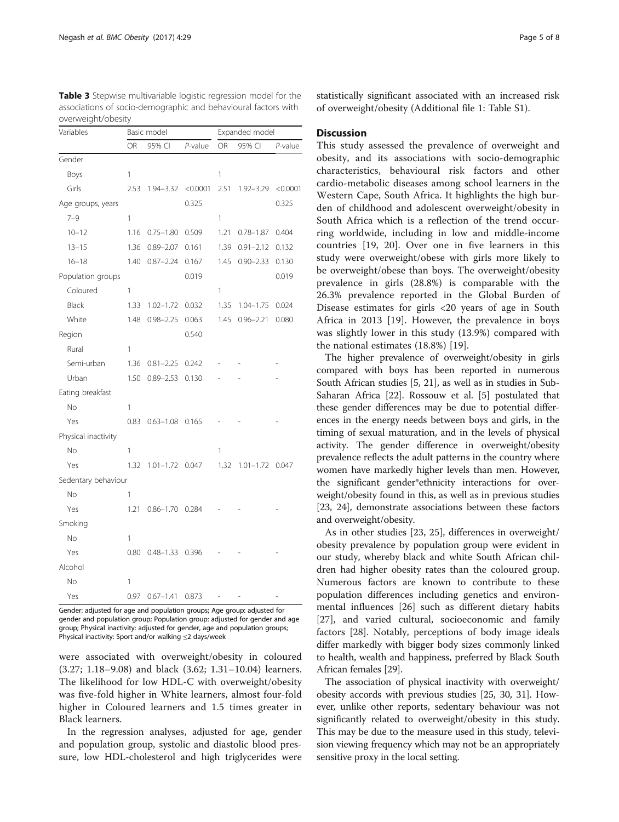<span id="page-4-0"></span>

| Table 3 Stepwise multivariable logistic regression model for the |
|------------------------------------------------------------------|
| associations of socio-demographic and behavioural factors with   |
| overweight/obesity                                               |

| Variables           |           | Basic model         |          | Expanded model |               |          |  |
|---------------------|-----------|---------------------|----------|----------------|---------------|----------|--|
|                     | <b>OR</b> | 95% CI              | P-value  | <b>OR</b>      | 95% CI        | P-value  |  |
| Gender              |           |                     |          |                |               |          |  |
| Boys                | 1         |                     |          | 1              |               |          |  |
| Girls               | 2.53      | 1.94-3.32           | < 0.0001 | 2.51           | $1.92 - 3.29$ | < 0.0001 |  |
| Age groups, years   |           |                     | 0.325    |                |               | 0.325    |  |
| $7 - 9$             | 1         |                     |          | 1              |               |          |  |
| $10 - 12$           | 1.16      | $0.75 - 1.80$       | 0.509    | 1.21           | $0.78 - 1.87$ | 0.404    |  |
| $13 - 15$           | 1.36      | $0.89 - 2.07$       | 0.161    | 1.39           | $0.91 - 2.12$ | 0.132    |  |
| $16 - 18$           | 1.40      | $0.87 - 2.24$       | 0.167    | 1.45           | $0.90 - 2.33$ | 0.130    |  |
| Population groups   |           |                     | 0.019    |                |               | 0.019    |  |
| Coloured            | 1         |                     |          | $\mathbf{1}$   |               |          |  |
| Black               | 1.33      | $1.02 - 1.72$       | 0.032    | 1.35           | $1.04 - 1.75$ | 0.024    |  |
| White               | 1.48      | $0.98 - 2.25$       | 0.063    | 1.45           | $0.96 - 2.21$ | 0.080    |  |
| Region              |           |                     | 0.540    |                |               |          |  |
| Rural               | 1         |                     |          |                |               |          |  |
| Semi-urban          | 1.36      | $0.81 - 2.25$       | 0.242    |                |               |          |  |
| Urban               | 1.50      | $0.89 - 2.53$       | 0.130    |                |               |          |  |
| Eating breakfast    |           |                     |          |                |               |          |  |
| No                  | 1         |                     |          |                |               |          |  |
| Yes                 | 0.83      | $0.63 - 1.08$       | 0.165    |                |               |          |  |
| Physical inactivity |           |                     |          |                |               |          |  |
| No                  | 1         |                     |          | 1              |               |          |  |
| Yes                 | 1.32      | $1.01 - 1.72$       | 0.047    | 1.32           | $1.01 - 1.72$ | 0.047    |  |
| Sedentary behaviour |           |                     |          |                |               |          |  |
| No                  | 1         |                     |          |                |               |          |  |
| Yes                 | 1.21      | $0.86 - 1.70$ 0.284 |          |                |               |          |  |
| Smoking             |           |                     |          |                |               |          |  |
| No                  | 1         |                     |          |                |               |          |  |
| Yes                 | 0.80      | $0.48 - 1.33$       | 0.396    |                |               |          |  |
| Alcohol             |           |                     |          |                |               |          |  |
| <b>No</b>           | 1         |                     |          |                |               |          |  |
| Yes                 | 0.97      | $0.67 - 1.41$       | 0.873    |                |               |          |  |

Gender: adjusted for age and population groups; Age group: adjusted for gender and population group; Population group: adjusted for gender and age group; Physical inactivity: adjusted for gender, age and population groups; Physical inactivity: Sport and/or walking ≤2 days/week

were associated with overweight/obesity in coloured (3.27; 1.18–9.08) and black (3.62; 1.31–10.04) learners. The likelihood for low HDL-C with overweight/obesity was five-fold higher in White learners, almost four-fold higher in Coloured learners and 1.5 times greater in Black learners.

In the regression analyses, adjusted for age, gender and population group, systolic and diastolic blood pressure, low HDL-cholesterol and high triglycerides were statistically significant associated with an increased risk of overweight/obesity (Additional file [1:](#page-6-0) Table S1).

#### **Discussion**

This study assessed the prevalence of overweight and obesity, and its associations with socio-demographic characteristics, behavioural risk factors and other cardio-metabolic diseases among school learners in the Western Cape, South Africa. It highlights the high burden of childhood and adolescent overweight/obesity in South Africa which is a reflection of the trend occurring worldwide, including in low and middle-income countries [[19](#page-7-0), [20\]](#page-7-0). Over one in five learners in this study were overweight/obese with girls more likely to be overweight/obese than boys. The overweight/obesity prevalence in girls (28.8%) is comparable with the 26.3% prevalence reported in the Global Burden of Disease estimates for girls <20 years of age in South Africa in 2013 [[19](#page-7-0)]. However, the prevalence in boys was slightly lower in this study (13.9%) compared with the national estimates (18.8%) [[19\]](#page-7-0).

The higher prevalence of overweight/obesity in girls compared with boys has been reported in numerous South African studies [[5,](#page-6-0) [21](#page-7-0)], as well as in studies in Sub-Saharan Africa [\[22\]](#page-7-0). Rossouw et al. [\[5](#page-6-0)] postulated that these gender differences may be due to potential differences in the energy needs between boys and girls, in the timing of sexual maturation, and in the levels of physical activity. The gender difference in overweight/obesity prevalence reflects the adult patterns in the country where women have markedly higher levels than men. However, the significant gender\*ethnicity interactions for overweight/obesity found in this, as well as in previous studies [[23](#page-7-0), [24\]](#page-7-0), demonstrate associations between these factors and overweight/obesity.

As in other studies [[23, 25](#page-7-0)], differences in overweight/ obesity prevalence by population group were evident in our study, whereby black and white South African children had higher obesity rates than the coloured group. Numerous factors are known to contribute to these population differences including genetics and environmental influences [[26\]](#page-7-0) such as different dietary habits [[27\]](#page-7-0), and varied cultural, socioeconomic and family factors [[28\]](#page-7-0). Notably, perceptions of body image ideals differ markedly with bigger body sizes commonly linked to health, wealth and happiness, preferred by Black South African females [[29](#page-7-0)].

The association of physical inactivity with overweight/ obesity accords with previous studies [\[25](#page-7-0), [30, 31\]](#page-7-0). However, unlike other reports, sedentary behaviour was not significantly related to overweight/obesity in this study. This may be due to the measure used in this study, television viewing frequency which may not be an appropriately sensitive proxy in the local setting.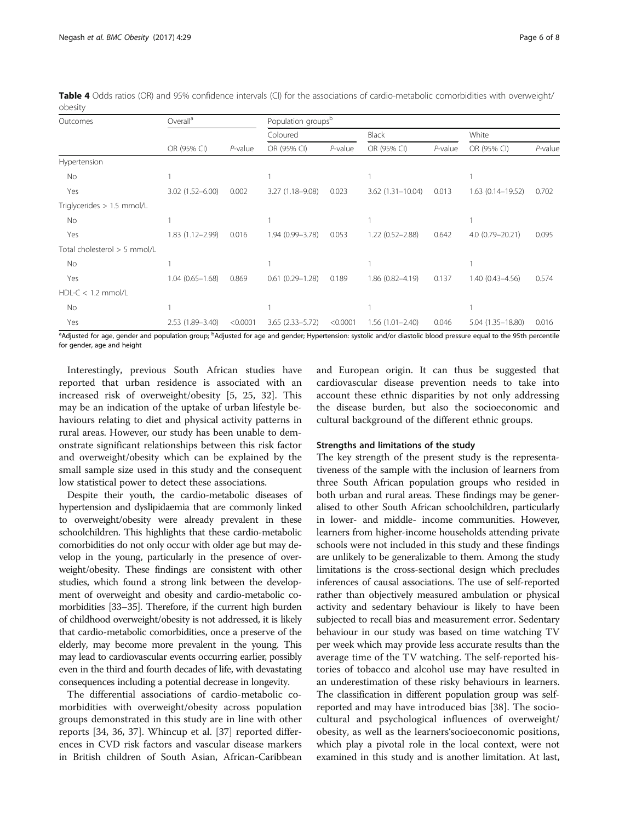<span id="page-5-0"></span>

|         |  | Table 4 Odds ratios (OR) and 95% confidence intervals (CI) for the associations of cardio-metabolic comorbidities with overweight/ |  |  |  |  |
|---------|--|------------------------------------------------------------------------------------------------------------------------------------|--|--|--|--|
| obesity |  |                                                                                                                                    |  |  |  |  |

| Outcomes                     | Overall <sup>a</sup> |            | Population groups <sup>b</sup> |            |                      |         |                      |            |  |  |
|------------------------------|----------------------|------------|--------------------------------|------------|----------------------|---------|----------------------|------------|--|--|
|                              |                      |            | Coloured                       |            | Black                |         | White                |            |  |  |
|                              | OR (95% CI)          | $P$ -value | OR (95% CI)                    | $P$ -value | OR (95% CI)          | P-value | OR (95% CI)          | $P$ -value |  |  |
| Hypertension                 |                      |            |                                |            |                      |         |                      |            |  |  |
| No                           |                      |            |                                |            |                      |         |                      |            |  |  |
| Yes                          | 3.02 (1.52-6.00)     | 0.002      | 3.27 (1.18-9.08)               | 0.023      | $3.62(1.31 - 10.04)$ | 0.013   | $1.63(0.14 - 19.52)$ | 0.702      |  |  |
| Triglycerides > 1.5 mmol/L   |                      |            |                                |            |                      |         |                      |            |  |  |
| No                           |                      |            |                                |            |                      |         |                      |            |  |  |
| Yes                          | $1.83(1.12 - 2.99)$  | 0.016      | 1.94 (0.99-3.78)               | 0.053      | 1.22 (0.52-2.88)     | 0.642   | 4.0 (0.79-20.21)     | 0.095      |  |  |
| Total cholesterol > 5 mmol/L |                      |            |                                |            |                      |         |                      |            |  |  |
| No                           |                      |            |                                |            |                      |         |                      |            |  |  |
| Yes                          | $1.04(0.65 - 1.68)$  | 0.869      | $0.61(0.29 - 1.28)$            | 0.189      | 1.86 (0.82-4.19)     | 0.137   | $1.40(0.43 - 4.56)$  | 0.574      |  |  |
| $HDL-C < 1.2$ mmol/L         |                      |            |                                |            |                      |         |                      |            |  |  |
| No                           |                      |            |                                |            |                      |         |                      |            |  |  |
| Yes                          | 2.53 (1.89-3.40)     | < 0.0001   | $3.65(2.33 - 5.72)$            | < 0.0001   | $1.56(1.01 - 2.40)$  | 0.046   | 5.04 (1.35-18.80)    | 0.016      |  |  |

<sup>a</sup>Adjusted for age, gender and population group; <sup>b</sup>Adjusted for age and gender; Hypertension: systolic and/or diastolic blood pressure equal to the 95th percentile for gender, age and height

Interestingly, previous South African studies have reported that urban residence is associated with an increased risk of overweight/obesity [[5,](#page-6-0) [25, 32](#page-7-0)]. This may be an indication of the uptake of urban lifestyle behaviours relating to diet and physical activity patterns in rural areas. However, our study has been unable to demonstrate significant relationships between this risk factor and overweight/obesity which can be explained by the small sample size used in this study and the consequent low statistical power to detect these associations.

Despite their youth, the cardio-metabolic diseases of hypertension and dyslipidaemia that are commonly linked to overweight/obesity were already prevalent in these schoolchildren. This highlights that these cardio-metabolic comorbidities do not only occur with older age but may develop in the young, particularly in the presence of overweight/obesity. These findings are consistent with other studies, which found a strong link between the development of overweight and obesity and cardio-metabolic comorbidities [\[33](#page-7-0)–[35](#page-7-0)]. Therefore, if the current high burden of childhood overweight/obesity is not addressed, it is likely that cardio-metabolic comorbidities, once a preserve of the elderly, may become more prevalent in the young. This may lead to cardiovascular events occurring earlier, possibly even in the third and fourth decades of life, with devastating consequences including a potential decrease in longevity.

The differential associations of cardio-metabolic comorbidities with overweight/obesity across population groups demonstrated in this study are in line with other reports [[34](#page-7-0), [36, 37](#page-7-0)]. Whincup et al. [[37](#page-7-0)] reported differences in CVD risk factors and vascular disease markers in British children of South Asian, African-Caribbean and European origin. It can thus be suggested that cardiovascular disease prevention needs to take into account these ethnic disparities by not only addressing the disease burden, but also the socioeconomic and cultural background of the different ethnic groups.

# Strengths and limitations of the study

The key strength of the present study is the representativeness of the sample with the inclusion of learners from three South African population groups who resided in both urban and rural areas. These findings may be generalised to other South African schoolchildren, particularly in lower- and middle- income communities. However, learners from higher-income households attending private schools were not included in this study and these findings are unlikely to be generalizable to them. Among the study limitations is the cross-sectional design which precludes inferences of causal associations. The use of self-reported rather than objectively measured ambulation or physical activity and sedentary behaviour is likely to have been subjected to recall bias and measurement error. Sedentary behaviour in our study was based on time watching TV per week which may provide less accurate results than the average time of the TV watching. The self-reported histories of tobacco and alcohol use may have resulted in an underestimation of these risky behaviours in learners. The classification in different population group was selfreported and may have introduced bias [[38\]](#page-7-0). The sociocultural and psychological influences of overweight/ obesity, as well as the learners'socioeconomic positions, which play a pivotal role in the local context, were not examined in this study and is another limitation. At last,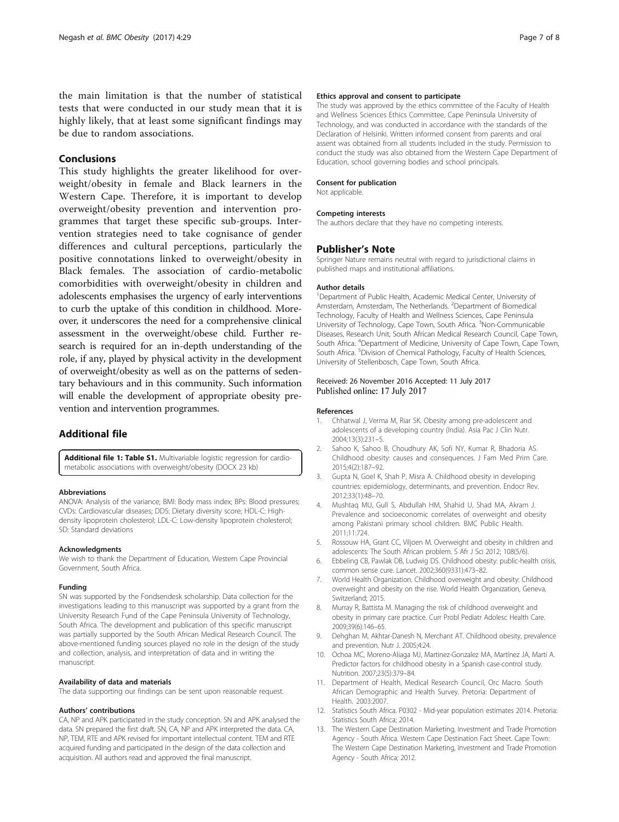<span id="page-6-0"></span>the main limitation is that the number of statistical tests that were conducted in our study mean that it is highly likely, that at least some significant findings may be due to random associations.

# Conclusions

This study highlights the greater likelihood for overweight/obesity in female and Black learners in the Western Cape. Therefore, it is important to develop overweight/obesity prevention and intervention programmes that target these specific sub-groups. Intervention strategies need to take cognisance of gender differences and cultural perceptions, particularly the positive connotations linked to overweight/obesity in Black females. The association of cardio-metabolic comorbidities with overweight/obesity in children and adolescents emphasises the urgency of early interventions to curb the uptake of this condition in childhood. Moreover, it underscores the need for a comprehensive clinical assessment in the overweight/obese child. Further research is required for an in-depth understanding of the role, if any, played by physical activity in the development of overweight/obesity as well as on the patterns of sedentary behaviours and in this community. Such information will enable the development of appropriate obesity prevention and intervention programmes.

# Additional file

[Additional file 1: Table S1.](dx.doi.org/10.1186/s40608-017-0165-1) Multivariable logistic regression for cardiometabolic associations with overweight/obesity (DOCX 23 kb)

#### Abbreviations

ANOVA: Analysis of the variance; BMI: Body mass index; BPs: Blood pressures; CVDs: Cardiovascular diseases; DDS: Dietary diversity score; HDL-C: Highdensity lipoprotein cholesterol; LDL-C: Low-density lipoprotein cholesterol; SD: Standard deviations

#### Acknowledgments

We wish to thank the Department of Education, Western Cape Provincial Government, South Africa.

#### Funding

SN was supported by the Fondsendesk scholarship. Data collection for the investigations leading to this manuscript was supported by a grant from the University Research Fund of the Cape Peninsula University of Technology, South Africa. The development and publication of this specific manuscript was partially supported by the South African Medical Research Council. The above-mentioned funding sources played no role in the design of the study and collection, analysis, and interpretation of data and in writing the manuscript.

#### Availability of data and materials

The data supporting our findings can be sent upon reasonable request.

#### Authors' contributions

CA, NP and APK participated in the study conception. SN and APK analysed the data. SN prepared the first draft. SN, CA, NP and APK interpreted the data. CA, NP, TEM, RTE and APK revised for important intellectual content. TEM and RTE acquired funding and participated in the design of the data collection and acquisition. All authors read and approved the final manuscript.

#### Ethics approval and consent to participate

The study was approved by the ethics committee of the Faculty of Health and Wellness Sciences Ethics Committee, Cape Peninsula University of Technology, and was conducted in accordance with the standards of the Declaration of Helsinki. Written informed consent from parents and oral assent was obtained from all students included in the study. Permission to conduct the study was also obtained from the Western Cape Department of Education, school governing bodies and school principals.

#### Consent for publication

Not applicable.

#### Competing interests

The authors declare that they have no competing interests.

# Publisher's Note

Springer Nature remains neutral with regard to jurisdictional claims in published maps and institutional affiliations.

#### Author details

<sup>1</sup>Department of Public Health, Academic Medical Center, University of Amsterdam, Amsterdam, The Netherlands. <sup>2</sup> Department of Biomedical Technology, Faculty of Health and Wellness Sciences, Cape Peninsula University of Technology, Cape Town, South Africa. <sup>3</sup>Non-Communicable Diseases, Research Unit, South African Medical Research Council, Cape Town, South Africa. <sup>4</sup>Department of Medicine, University of Cape Town, Cape Town South Africa. <sup>5</sup>Division of Chemical Pathology, Faculty of Health Sciences University of Stellenbosch, Cape Town, South Africa.

# Received: 26 November 2016 Accepted: 11 July 2017 Published online: 17 July 2017

#### References

- 1. Chhatwal J, Verma M, Riar SK. Obesity among pre-adolescent and adolescents of a developing country (India). Asia Pac J Clin Nutr. 2004;13(3):231–5.
- 2. Sahoo K, Sahoo B, Choudhury AK, Sofi NY, Kumar R, Bhadoria AS. Childhood obesity: causes and consequences. J Fam Med Prim Care. 2015;4(2):187–92.
- 3. Gupta N, Goel K, Shah P, Misra A. Childhood obesity in developing countries: epidemiology, determinants, and prevention. Endocr Rev. 2012;33(1):48–70.
- 4. Mushtaq MU, Gull S, Abdullah HM, Shahid U, Shad MA, Akram J. Prevalence and socioeconomic correlates of overweight and obesity among Pakistani primary school children. BMC Public Health. 2011;11:724.
- Rossouw HA, Grant CC, Viljoen M. Overweight and obesity in children and adolescents: The South African problem. S Afr J Sci 2012; 108(5/6).
- 6. Ebbeling CB, Pawlak DB, Ludwig DS. Childhood obesity: public-health crisis, common sense cure. Lancet. 2002;360(9331):473–82.
- 7. World Health Organization. Childhood overweight and obesity: Childhood overweight and obesity on the rise. World Health Organization, Geneva, Switzerland; 2015.
- 8. Murray R, Battista M. Managing the risk of childhood overweight and obesity in primary care practice. Curr Probl Pediatr Adolesc Health Care. 2009;39(6):146–65.
- 9. Dehghan M, Akhtar-Danesh N, Merchant AT. Childhood obesity, prevalence and prevention. Nutr J. 2005;4:24.
- 10. Ochoa MC, Moreno-Aliaga MJ, Martinez-Gonzalez MA, Martínez JA, Marti A. Predictor factors for childhood obesity in a Spanish case-control study. Nutrition. 2007;23(5):379–84.
- 11. Department of Health, Medical Research Council, Orc Macro. South African Demographic and Health Survey. Pretoria: Department of Health. 2003:2007.
- 12. Statistics South Africa. P0302 Mid-year population estimates 2014. Pretoria: Statistics South Africa; 2014.
- 13. The Western Cape Destination Marketing, Investment and Trade Promotion Agency - South Africa. Western Cape Destination Fact Sheet. Cape Town: The Western Cape Destination Marketing, Investment and Trade Promotion Agency - South Africa; 2012.